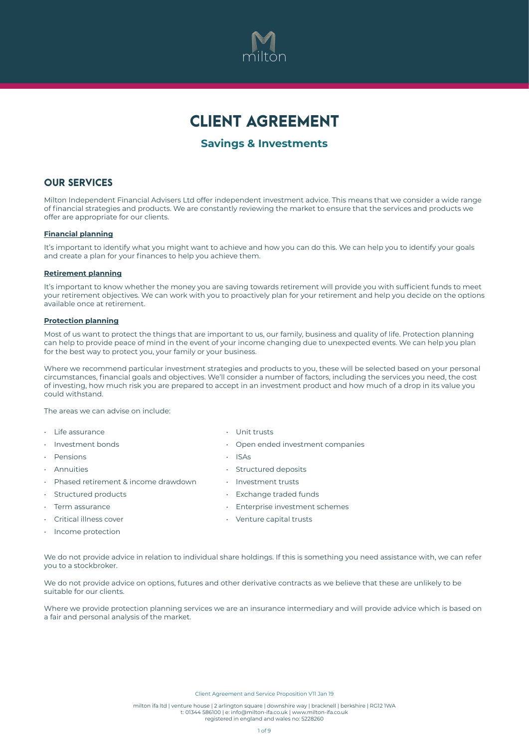

# CLIENT AGREEMENT

# **Savings & Investments**

### OUR SERVICES

Milton Independent Financial Advisers Ltd offer independent investment advice. This means that we consider a wide range of financial strategies and products. We are constantly reviewing the market to ensure that the services and products we offer are appropriate for our clients.

### **Financial planning**

It's important to identify what you might want to achieve and how you can do this. We can help you to identify your goals and create a plan for your finances to help you achieve them.

#### **Retirement planning**

It's important to know whether the money you are saving towards retirement will provide you with sufficient funds to meet your retirement objectives. We can work with you to proactively plan for your retirement and help you decide on the options available once at retirement.

#### **Protection planning**

Most of us want to protect the things that are important to us, our family, business and quality of life. Protection planning can help to provide peace of mind in the event of your income changing due to unexpected events. We can help you plan for the best way to protect you, your family or your business.

Where we recommend particular investment strategies and products to you, these will be selected based on your personal circumstances, financial goals and objectives. We'll consider a number of factors, including the services you need, the cost of investing, how much risk you are prepared to accept in an investment product and how much of a drop in its value you could withstand.

The areas we can advise on include:

- Life assurance Unit trusts
- 
- Pensions ISAs
- 
- Phased retirement & income drawdown Investment trusts
- 
- 
- 
- 
- Investment bonds Open ended investment companies
	-
- Annuities Structured deposits
	-
	- Structured products Exchange traded funds
- Term assurance  **Enterprise investment schemes** Enterprise investment schemes
- Critical illness cover  **Critical illness** cover
- Income protection

We do not provide advice in relation to individual share holdings. If this is something you need assistance with, we can refer you to a stockbroker.

We do not provide advice on options, futures and other derivative contracts as we believe that these are unlikely to be suitable for our clients.

Where we provide protection planning services we are an insurance intermediary and will provide advice which is based on a fair and personal analysis of the market.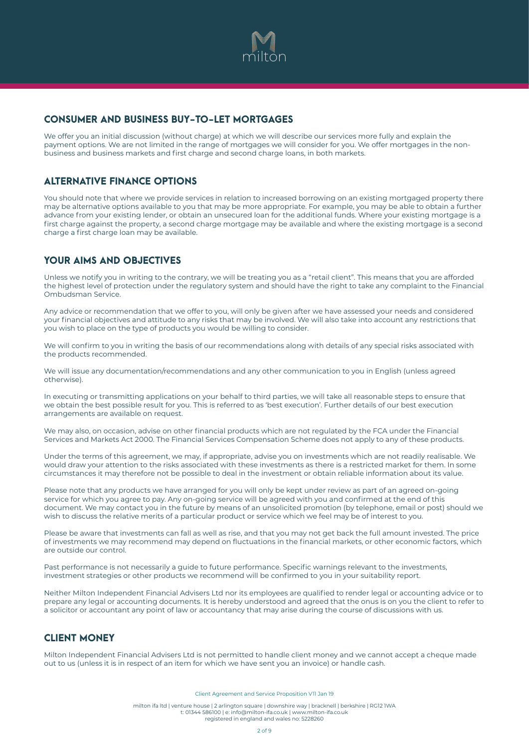

# CONSUMER AND BUSINESS BUY-TO-LET MORTGAGES

We offer you an initial discussion (without charge) at which we will describe our services more fully and explain the payment options. We are not limited in the range of mortgages we will consider for you. We offer mortgages in the nonbusiness and business markets and first charge and second charge loans, in both markets.

### ALTERNATIVE FINANCE OPTIONS

You should note that where we provide services in relation to increased borrowing on an existing mortgaged property there may be alternative options available to you that may be more appropriate. For example, you may be able to obtain a further advance from your existing lender, or obtain an unsecured loan for the additional funds. Where your existing mortgage is a first charge against the property, a second charge mortgage may be available and where the existing mortgage is a second charge a first charge loan may be available.

# YOUR AIMS AND OBJECTIVES

Unless we notify you in writing to the contrary, we will be treating you as a "retail client". This means that you are afforded the highest level of protection under the regulatory system and should have the right to take any complaint to the Financial Ombudsman Service.

Any advice or recommendation that we offer to you, will only be given after we have assessed your needs and considered your financial objectives and attitude to any risks that may be involved. We will also take into account any restrictions that you wish to place on the type of products you would be willing to consider.

We will confirm to you in writing the basis of our recommendations along with details of any special risks associated with the products recommended.

We will issue any documentation/recommendations and any other communication to you in English (unless agreed otherwise).

In executing or transmitting applications on your behalf to third parties, we will take all reasonable steps to ensure that we obtain the best possible result for you. This is referred to as 'best execution'. Further details of our best execution arrangements are available on request.

We may also, on occasion, advise on other financial products which are not regulated by the FCA under the Financial Services and Markets Act 2000. The Financial Services Compensation Scheme does not apply to any of these products.

Under the terms of this agreement, we may, if appropriate, advise you on investments which are not readily realisable. We would draw your attention to the risks associated with these investments as there is a restricted market for them. In some circumstances it may therefore not be possible to deal in the investment or obtain reliable information about its value.

Please note that any products we have arranged for you will only be kept under review as part of an agreed on-going service for which you agree to pay. Any on-going service will be agreed with you and confirmed at the end of this document. We may contact you in the future by means of an unsolicited promotion (by telephone, email or post) should we wish to discuss the relative merits of a particular product or service which we feel may be of interest to you.

Please be aware that investments can fall as well as rise, and that you may not get back the full amount invested. The price of investments we may recommend may depend on fluctuations in the financial markets, or other economic factors, which are outside our control.

Past performance is not necessarily a guide to future performance. Specific warnings relevant to the investments, investment strategies or other products we recommend will be confirmed to you in your suitability report.

Neither Milton Independent Financial Advisers Ltd nor its employees are qualified to render legal or accounting advice or to prepare any legal or accounting documents. It is hereby understood and agreed that the onus is on you the client to refer to a solicitor or accountant any point of law or accountancy that may arise during the course of discussions with us.

# CLIENT MONEY

Milton Independent Financial Advisers Ltd is not permitted to handle client money and we cannot accept a cheque made out to us (unless it is in respect of an item for which we have sent you an invoice) or handle cash.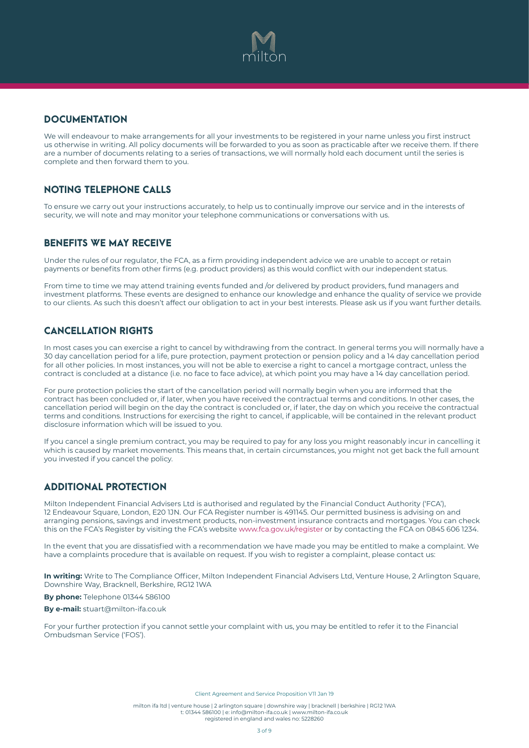

# **DOCUMENTATION**

We will endeavour to make arrangements for all your investments to be registered in your name unless you first instruct us otherwise in writing. All policy documents will be forwarded to you as soon as practicable after we receive them. If there are a number of documents relating to a series of transactions, we will normally hold each document until the series is complete and then forward them to you.

# NOTING TELEPHONE CALLS

To ensure we carry out your instructions accurately, to help us to continually improve our service and in the interests of security, we will note and may monitor your telephone communications or conversations with us.

### BENEFITS WE MAY RECEIVE

Under the rules of our regulator, the FCA, as a firm providing independent advice we are unable to accept or retain payments or benefits from other firms (e.g. product providers) as this would conflict with our independent status.

From time to time we may attend training events funded and /or delivered by product providers, fund managers and investment platforms. These events are designed to enhance our knowledge and enhance the quality of service we provide to our clients. As such this doesn't affect our obligation to act in your best interests. Please ask us if you want further details.

# CANCELLATION RIGHTS

In most cases you can exercise a right to cancel by withdrawing from the contract. In general terms you will normally have a 30 day cancellation period for a life, pure protection, payment protection or pension policy and a 14 day cancellation period for all other policies. In most instances, you will not be able to exercise a right to cancel a mortgage contract, unless the contract is concluded at a distance (i.e. no face to face advice), at which point you may have a 14 day cancellation period.

For pure protection policies the start of the cancellation period will normally begin when you are informed that the contract has been concluded or, if later, when you have received the contractual terms and conditions. In other cases, the cancellation period will begin on the day the contract is concluded or, if later, the day on which you receive the contractual terms and conditions. Instructions for exercising the right to cancel, if applicable, will be contained in the relevant product disclosure information which will be issued to you.

If you cancel a single premium contract, you may be required to pay for any loss you might reasonably incur in cancelling it which is caused by market movements. This means that, in certain circumstances, you might not get back the full amount you invested if you cancel the policy.

## ADDITIONAL PROTECTION

Milton Independent Financial Advisers Ltd is authorised and regulated by the Financial Conduct Authority ('FCA'), 12 Endeavour Square, London, E20 1JN. Our FCA Register number is 491145. Our permitted business is advising on and arranging pensions, savings and investment products, non-investment insurance contracts and mortgages. You can check this on the FCA's Register by visiting the FCA's website www.fca.gov.uk/register or by contacting the FCA on 0845 606 1234.

In the event that you are dissatisfied with a recommendation we have made you may be entitled to make a complaint. We have a complaints procedure that is available on request. If you wish to register a complaint, please contact us:

**In writing:** Write to The Compliance Officer, Milton Independent Financial Advisers Ltd, Venture House, 2 Arlington Square, Downshire Way, Bracknell, Berkshire, RG12 1WA

**By phone:** Telephone 01344 586100

**By e-mail:** [stuart@milton-ifa.co.uk](mailto:stuart@milton-ifa.co.uk)

For your further protection if you cannot settle your complaint with us, you may be entitled to refer it to the Financial Ombudsman Service ('FOS').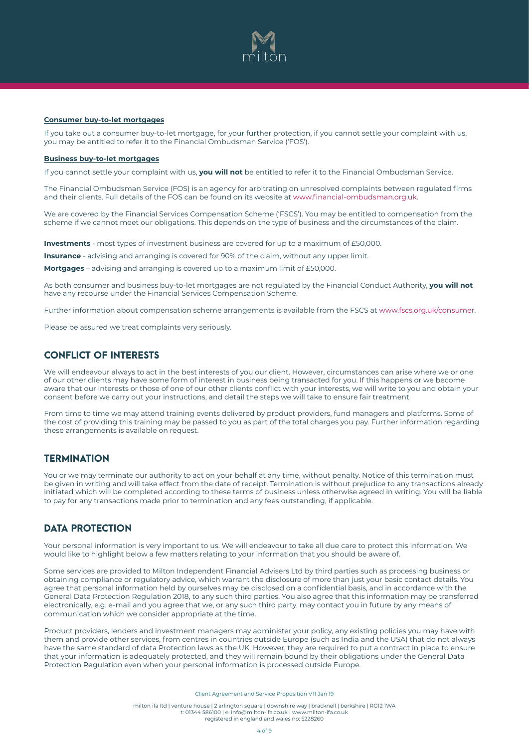

#### **Consumer buy-to-let mortgages**

If you take out a consumer buy-to-let mortgage, for your further protection, if you cannot settle your complaint with us, you may be entitled to refer it to the Financial Ombudsman Service ('FOS').

#### **Business buy-to-let mortgages**

If you cannot settle your complaint with us, **you will not** be entitled to refer it to the Financial Ombudsman Service.

The Financial Ombudsman Service (FOS) is an agency for arbitrating on unresolved complaints between regulated firms and their clients. Full details of the FOS can be found on its website at www.financial-ombudsman.org.uk.

We are covered by the Financial Services Compensation Scheme ('FSCS'). You may be entitled to compensation from the scheme if we cannot meet our obligations. This depends on the type of business and the circumstances of the claim.

**Investments** - most types of investment business are covered for up to a maximum of £50,000.

**Insurance** - advising and arranging is covered for 90% of the claim, without any upper limit.

**Mortgages** – advising and arranging is covered up to a maximum limit of £50,000.

As both consumer and business buy-to-let mortgages are not regulated by the Financial Conduct Authority, **you will not** have any recourse under the Financial Services Compensation Scheme.

Further information about compensation scheme arrangements is available from the FSCS at www.fscs.org.uk/consumer.

Please be assured we treat complaints very seriously.

### CONFLICT OF INTERESTS

We will endeavour always to act in the best interests of you our client. However, circumstances can arise where we or one of our other clients may have some form of interest in business being transacted for you. If this happens or we become aware that our interests or those of one of our other clients conflict with your interests, we will write to you and obtain your consent before we carry out your instructions, and detail the steps we will take to ensure fair treatment.

From time to time we may attend training events delivered by product providers, fund managers and platforms. Some of the cost of providing this training may be passed to you as part of the total charges you pay. Further information regarding these arrangements is available on request.

### **TERMINATION**

You or we may terminate our authority to act on your behalf at any time, without penalty. Notice of this termination must be given in writing and will take effect from the date of receipt. Termination is without prejudice to any transactions already initiated which will be completed according to these terms of business unless otherwise agreed in writing. You will be liable to pay for any transactions made prior to termination and any fees outstanding, if applicable.

### DATA PROTECTION

Your personal information is very important to us. We will endeavour to take all due care to protect this information. We would like to highlight below a few matters relating to your information that you should be aware of.

Some services are provided to Milton Independent Financial Advisers Ltd by third parties such as processing business or obtaining compliance or regulatory advice, which warrant the disclosure of more than just your basic contact details. You agree that personal information held by ourselves may be disclosed on a confidential basis, and in accordance with the General Data Protection Regulation 2018, to any such third parties. You also agree that this information may be transferred electronically, e.g. e-mail and you agree that we, or any such third party, may contact you in future by any means of communication which we consider appropriate at the time.

Product providers, lenders and investment managers may administer your policy, any existing policies you may have with them and provide other services, from centres in countries outside Europe (such as India and the USA) that do not always have the same standard of data Protection laws as the UK. However, they are required to put a contract in place to ensure that your information is adequately protected, and they will remain bound by their obligations under the General Data Protection Regulation even when your personal information is processed outside Europe.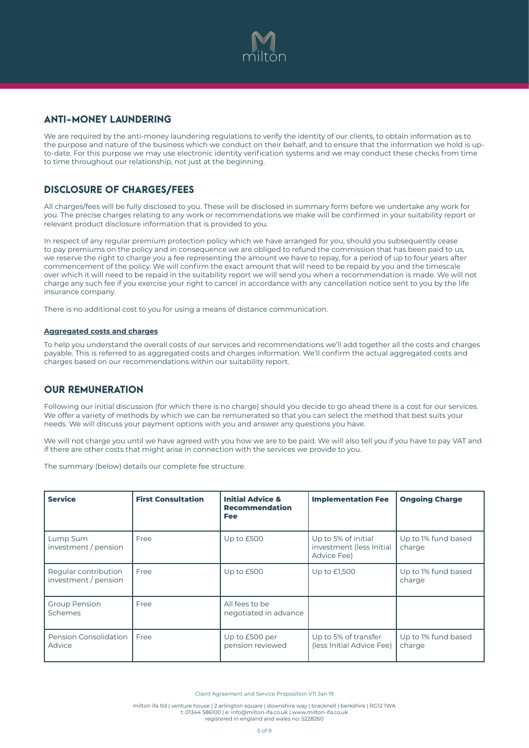

## ANTI-MONEY LAUNDERING

We are required by the anti-money laundering regulations to verify the identity of our clients, to obtain information as to the purpose and nature of the business which we conduct on their behalf, and to ensure that the information we hold is upto-date. For this purpose we may use electronic identity verification systems and we may conduct these checks from time to time throughout our relationship, not just at the beginning.

# DISCLOSURE OF CHARGES/FEES

All charges/fees will be fully disclosed to you. These will be disclosed in summary form before we undertake any work for you. The precise charges relating to any work or recommendations we make will be confirmed in your suitability report or relevant product disclosure information that is provided to you.

In respect of any regular premium protection policy which we have arranged for you, should you subsequently cease to pay premiums on the policy and in consequence we are obliged to refund the commission that has been paid to us, we reserve the right to charge you a fee representing the amount we have to repay, for a period of up to four years after commencement of the policy. We will confirm the exact amount that will need to be repaid by you and the timescale over which it will need to be repaid in the suitability report we will send you when a recommendation is made. We will not charge any such fee if you exercise your right to cancel in accordance with any cancellation notice sent to you by the life insurance company.

There is no additional cost to you for using a means of distance communication.

#### **Aggregated costs and charges**

To help you understand the overall costs of our services and recommendations we'll add together all the costs and charges payable. This is referred to as aggregated costs and charges information. We'll confirm the actual aggregated costs and charges based on our recommendations within our suitability report.

### OUR REMUNERATION

Following our initial discussion (for which there is no charge) should you decide to go ahead there is a cost for our services. We offer a variety of methods by which we can be remunerated so that you can select the method that best suits your needs. We will discuss your payment options with you and answer any questions you have.

We will not charge you until we have agreed with you how we are to be paid. We will also tell you if you have to pay VAT and if there are other costs that might arise in connection with the services we provide to you.

The summary (below) details our complete fee structure.

| <b>Service</b>                               | <b>First Consultation</b> | <b>Initial Advice &amp;</b><br><b>Recommendation</b><br><b>Fee</b> | <b>Implementation Fee</b>                                      | <b>Ongoing Charge</b>         |
|----------------------------------------------|---------------------------|--------------------------------------------------------------------|----------------------------------------------------------------|-------------------------------|
| Lump Sum<br>investment / pension             | Free                      | Up to £500                                                         | Up to 5% of initial<br>investment (less Initial<br>Advice Fee) | Up to 1% fund based<br>charge |
| Regular contribution<br>investment / pension | Free                      | Up to £500                                                         | Up to $E1,500$                                                 | Up to 1% fund based<br>charge |
| <b>Group Pension</b><br>Schemes              | Free                      | All fees to be<br>negotiated in advance                            |                                                                |                               |
| Pension Consolidation<br>Advice              | Free                      | Up to £500 per<br>pension reviewed                                 | Up to 5% of transfer<br>(less Initial Advice Fee)              | Up to 1% fund based<br>charge |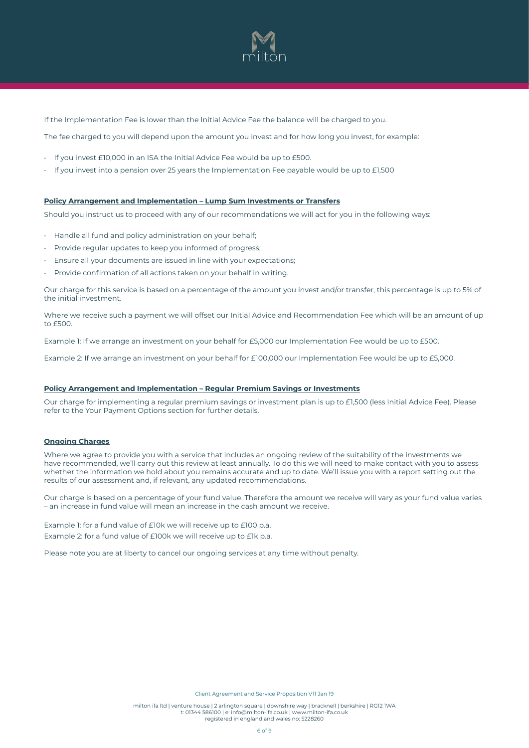

If the Implementation Fee is lower than the Initial Advice Fee the balance will be charged to you.

The fee charged to you will depend upon the amount you invest and for how long you invest, for example:

- If you invest £10,000 in an ISA the Initial Advice Fee would be up to £500.
- If you invest into a pension over 25 years the Implementation Fee payable would be up to £1,500

#### **Policy Arrangement and Implementation – Lump Sum Investments or Transfers**

Should you instruct us to proceed with any of our recommendations we will act for you in the following ways:

- Handle all fund and policy administration on your behalf;
- Provide regular updates to keep you informed of progress;
- Ensure all your documents are issued in line with your expectations;
- Provide confirmation of all actions taken on your behalf in writing.

Our charge for this service is based on a percentage of the amount you invest and/or transfer, this percentage is up to 5% of the initial investment.

Where we receive such a payment we will offset our Initial Advice and Recommendation Fee which will be an amount of up to £500.

Example 1: If we arrange an investment on your behalf for £5,000 our Implementation Fee would be up to £500.

Example 2: If we arrange an investment on your behalf for £100,000 our Implementation Fee would be up to £5,000.

#### **Policy Arrangement and Implementation – Regular Premium Savings or Investments**

Our charge for implementing a regular premium savings or investment plan is up to £1,500 (less Initial Advice Fee). Please refer to the Your Payment Options section for further details.

#### **Ongoing Charges**

Where we agree to provide you with a service that includes an ongoing review of the suitability of the investments we have recommended, we'll carry out this review at least annually. To do this we will need to make contact with you to assess whether the information we hold about you remains accurate and up to date. We'll issue you with a report setting out the results of our assessment and, if relevant, any updated recommendations.

Our charge is based on a percentage of your fund value. Therefore the amount we receive will vary as your fund value varies – an increase in fund value will mean an increase in the cash amount we receive.

Example 1: for a fund value of £10k we will receive up to £100 p.a. Example 2: for a fund value of £100k we will receive up to £1k p.a.

Please note you are at liberty to cancel our ongoing services at any time without penalty.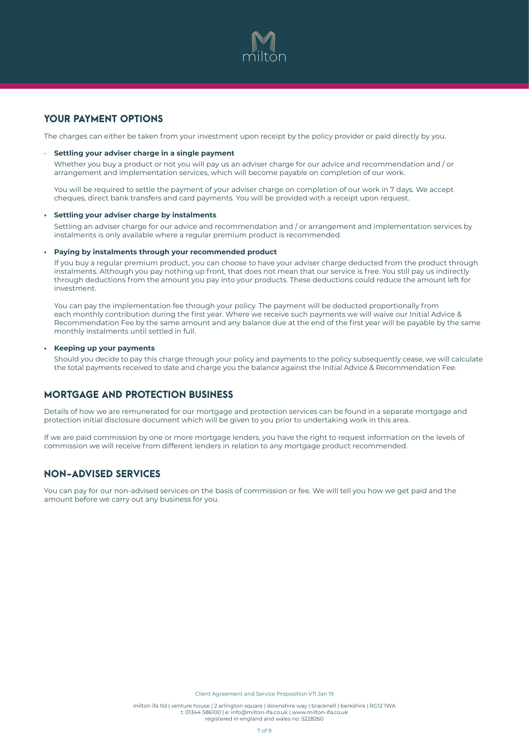

## YOUR PAYMENT OPTIONS

The charges can either be taken from your investment upon receipt by the policy provider or paid directly by you.

#### • **Settling your adviser charge in a single payment**

Whether you buy a product or not you will pay us an adviser charge for our advice and recommendation and / or arrangement and implementation services, which will become payable on completion of our work.

You will be required to settle the payment of your adviser charge on completion of our work in 7 days. We accept cheques, direct bank transfers and card payments. You will be provided with a receipt upon request.

#### **• Settling your adviser charge by instalments**

Settling an adviser charge for our advice and recommendation and / or arrangement and implementation services by instalments is only available where a regular premium product is recommended.

#### **• Paying by instalments through your recommended product**

If you buy a regular premium product, you can choose to have your adviser charge deducted from the product through instalments. Although you pay nothing up front, that does not mean that our service is free. You still pay us indirectly through deductions from the amount you pay into your products. These deductions could reduce the amount left for investment.

You can pay the implementation fee through your policy. The payment will be deducted proportionally from each monthly contribution during the first year. Where we receive such payments we will waive our Initial Advice & Recommendation Fee by the same amount and any balance due at the end of the first year will be payable by the same monthly instalments until settled in full.

#### **• Keeping up your payments**

Should you decide to pay this charge through your policy and payments to the policy subsequently cease, we will calculate the total payments received to date and charge you the balance against the Initial Advice & Recommendation Fee.

### MORTGAGE AND PROTECTION BUSINESS

Details of how we are remunerated for our mortgage and protection services can be found in a separate mortgage and protection initial disclosure document which will be given to you prior to undertaking work in this area.

If we are paid commission by one or more mortgage lenders, you have the right to request information on the levels of commission we will receive from different lenders in relation to any mortgage product recommended.

### NON-ADVISED SERVICES

You can pay for our non-advised services on the basis of commission or fee. We will tell you how we get paid and the amount before we carry out any business for you.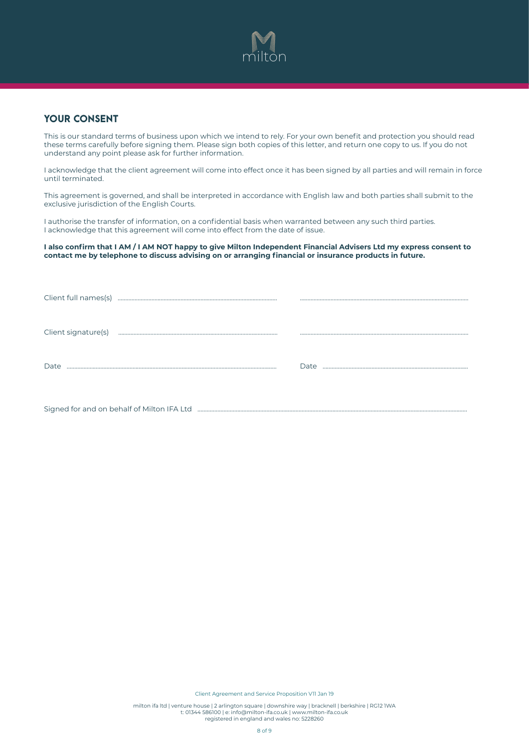

### YOUR CONSENT

This is our standard terms of business upon which we intend to rely. For your own benefit and protection you should read these terms carefully before signing them. Please sign both copies of this letter, and return one copy to us. If you do not understand any point please ask for further information.

I acknowledge that the client agreement will come into effect once it has been signed by all parties and will remain in force until terminated.

This agreement is governed, and shall be interpreted in accordance with English law and both parties shall submit to the exclusive jurisdiction of the English Courts.

I authorise the transfer of information, on a confidential basis when warranted between any such third parties. I acknowledge that this agreement will come into effect from the date of issue.

#### **I also confirm that I AM / I AM NOT happy to give Milton Independent Financial Advisers Ltd my express consent to contact me by telephone to discuss advising on or arranging financial or insurance products in future.**

| Client full names(s) |      |
|----------------------|------|
| Client signature(s)  |      |
| Date                 | Date |
|                      |      |

Signed for and on behalf of Milton IFA Ltd …………